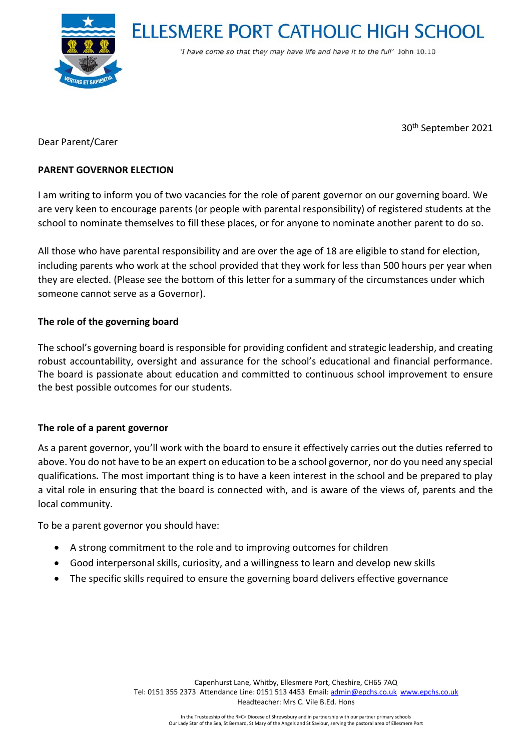**ELLESMERE PORT CATHOLIC HIGH SCHOOL** 



'I have come so that they may have life and have it to the full' John 10.10

30th September 2021

Dear Parent/Carer

### **PARENT GOVERNOR ELECTION**

I am writing to inform you of two vacancies for the role of parent governor on our governing board. We are very keen to encourage parents (or people with parental responsibility) of registered students at the school to nominate themselves to fill these places, or for anyone to nominate another parent to do so.

All those who have parental responsibility and are over the age of 18 are eligible to stand for election, including parents who work at the school provided that they work for less than 500 hours per year when they are elected. (Please see the bottom of this letter for a summary of the circumstances under which someone cannot serve as a Governor).

# **The role of the governing board**

The school's governing board is responsible for providing confident and strategic leadership, and creating robust accountability, oversight and assurance for the school's educational and financial performance. The board is passionate about education and committed to continuous school improvement to ensure the best possible outcomes for our students.

### **The role of a parent governor**

As a parent governor, you'll work with the board to ensure it effectively carries out the duties referred to above. You do not have to be an expert on education to be a school governor, nor do you need any special qualifications**.** The most important thing is to have a keen interest in the school and be prepared to play a vital role in ensuring that the board is connected with, and is aware of the views of, parents and the local community.

To be a parent governor you should have:

- A strong commitment to the role and to improving outcomes for children
- Good interpersonal skills, curiosity, and a willingness to learn and develop new skills
- The specific skills required to ensure the governing board delivers effective governance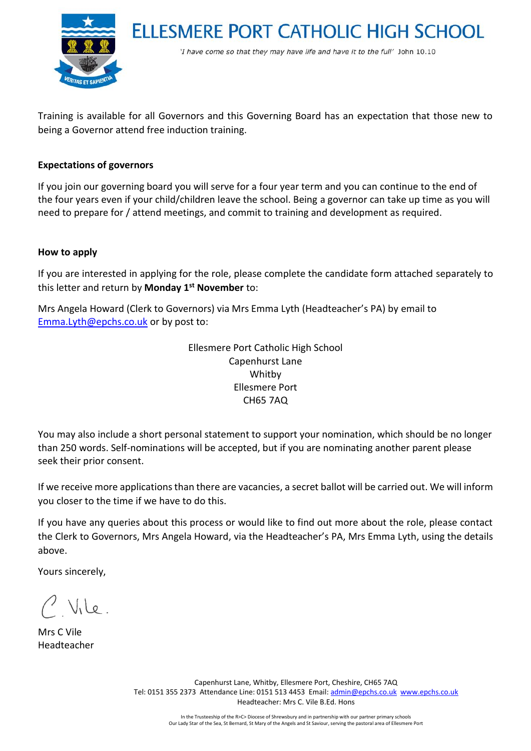

**ELLESMERE PORT CATHOLIC HIGH SCHOOL** 

'I have come so that they may have life and have it to the full' John 10.10

Training is available for all Governors and this Governing Board has an expectation that those new to being a Governor attend free induction training.

### **Expectations of governors**

If you join our governing board you will serve for a four year term and you can continue to the end of the four years even if your child/children leave the school. Being a governor can take up time as you will need to prepare for / attend meetings, and commit to training and development as required.

#### **How to apply**

If you are interested in applying for the role, please complete the candidate form attached separately to this letter and return by **Monday 1st November** to:

Mrs Angela Howard (Clerk to Governors) via Mrs Emma Lyth (Headteacher's PA) by email to [Emma.Lyth@epchs.co.uk](mailto:Emma.Lyth@epchs.co.uk) or by post to:

> Ellesmere Port Catholic High School Capenhurst Lane Whitby Ellesmere Port CH65 7AQ

You may also include a short personal statement to support your nomination, which should be no longer than 250 words. Self-nominations will be accepted, but if you are nominating another parent please seek their prior consent.

If we receive more applications than there are vacancies, a secret ballot will be carried out. We will inform you closer to the time if we have to do this.

If you have any queries about this process or would like to find out more about the role, please contact the Clerk to Governors, Mrs Angela Howard, via the Headteacher's PA, Mrs Emma Lyth, using the details above.

Yours sincerely,

Mle.

Mrs C Vile Headteacher

Capenhurst Lane, Whitby, Ellesmere Port, Cheshire, CH65 7AQ Tel: 0151 355 2373 Attendance Line: 0151 513 4453 Email[: admin@epchs.co.uk](mailto:admin@epchs.co.uk) [www.epchs.co.uk](http://www.epchs.co.uk/) Headteacher: Mrs C. Vile B.Ed. Hons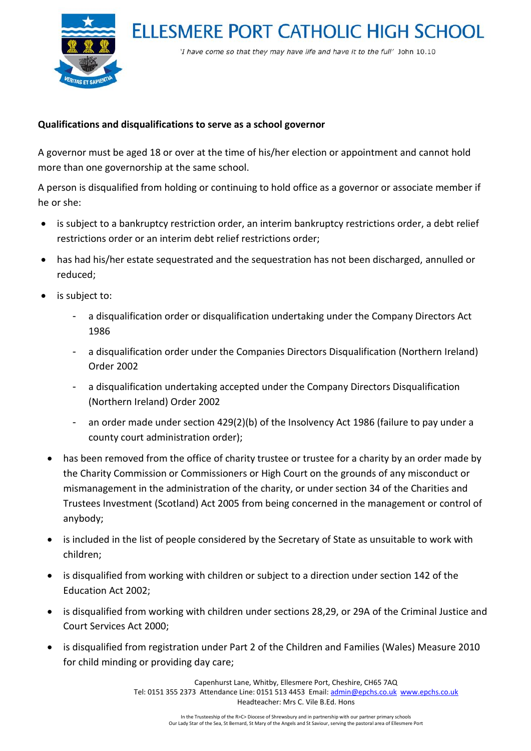



'I have come so that they may have life and have it to the full' John 10.10

# **Qualifications and disqualifications to serve as a school governor**

A governor must be aged 18 or over at the time of his/her election or appointment and cannot hold more than one governorship at the same school.

A person is disqualified from holding or continuing to hold office as a governor or associate member if he or she:

- is subject to a bankruptcy restriction order, an interim bankruptcy restrictions order, a debt relief restrictions order or an interim debt relief restrictions order;
- has had his/her estate sequestrated and the sequestration has not been discharged, annulled or reduced;
- is subject to:
	- a disqualification order or disqualification undertaking under the Company Directors Act 1986
	- a disqualification order under the Companies Directors Disqualification (Northern Ireland) Order 2002
	- a disqualification undertaking accepted under the Company Directors Disqualification (Northern Ireland) Order 2002
	- an order made under section 429(2)(b) of the Insolvency Act 1986 (failure to pay under a county court administration order);
	- has been removed from the office of charity trustee or trustee for a charity by an order made by the Charity Commission or Commissioners or High Court on the grounds of any misconduct or mismanagement in the administration of the charity, or under section 34 of the Charities and Trustees Investment (Scotland) Act 2005 from being concerned in the management or control of anybody;
	- is included in the list of people considered by the Secretary of State as unsuitable to work with children;
	- is disqualified from working with children or subject to a direction under section 142 of the Education Act 2002;
	- is disqualified from working with children under sections 28,29, or 29A of the Criminal Justice and Court Services Act 2000;
	- is disqualified from registration under Part 2 of the Children and Families (Wales) Measure 2010 for child minding or providing day care;

Capenhurst Lane, Whitby, Ellesmere Port, Cheshire, CH65 7AQ Tel: 0151 355 2373 Attendance Line: 0151 513 4453 Email[: admin@epchs.co.uk](mailto:admin@epchs.co.uk) [www.epchs.co.uk](http://www.epchs.co.uk/) Headteacher: Mrs C. Vile B.Ed. Hons